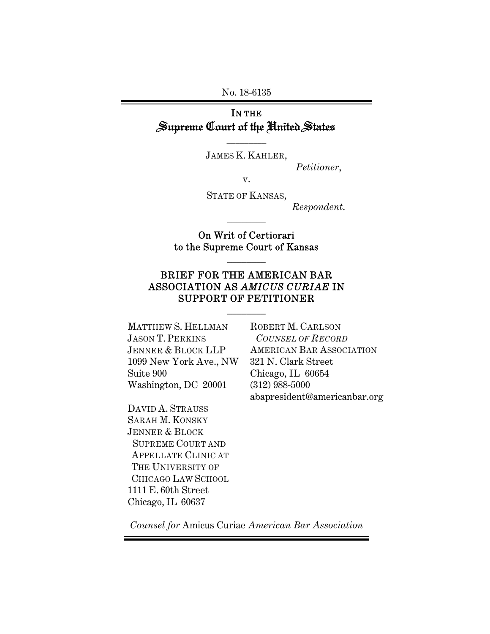No. 18-6135

## IN THE Supreme Court of the United States

\_\_\_\_\_\_\_\_\_ JAMES K. KAHLER,

*Petitioner*,

v.

STATE OF KANSAS,

\_\_\_\_\_\_\_\_

*Respondent*.

On Writ of Certiorari to the Supreme Court of Kansas

\_\_\_\_\_\_\_\_

## BRIEF FOR THE AMERICAN BAR ASSOCIATION AS *AMICUS CURIAE* IN SUPPORT OF PETITIONER

\_\_\_\_\_\_\_\_

MATTHEW S. HELLMAN JASON T. PERKINS JENNER & BLOCK LLP 1099 New York Ave., NW Suite 900 Washington, DC 20001

DAVID A. STRAUSS SARAH M. KONSKY JENNER & BLOCK SUPREME COURT AND APPELLATE CLINIC AT THE UNIVERSITY OF CHICAGO LAW SCHOOL 1111 E. 60th Street Chicago, IL 60637

ROBERT M. CARLSON  *COUNSEL OF RECORD* AMERICAN BAR ASSOCIATION 321 N. Clark Street Chicago, IL 60654 (312) 988-5000 abapresident@americanbar.org

*Counsel for* Amicus Curiae *American Bar Association*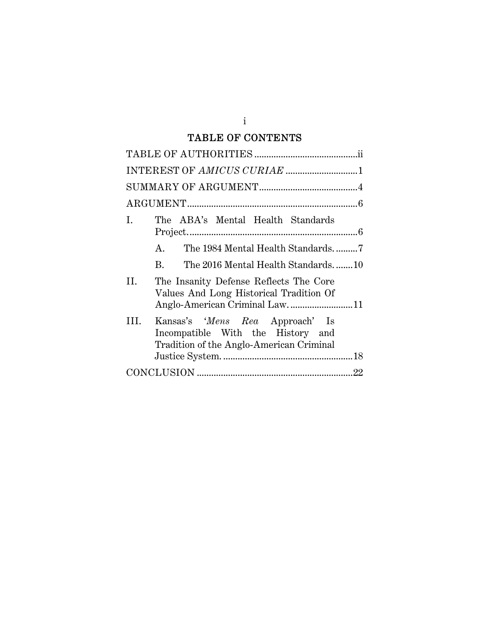## TABLE OF CONTENTS

| I.<br>The ABA's Mental Health Standards                                                                                   |
|---------------------------------------------------------------------------------------------------------------------------|
| The 1984 Mental Health Standards7<br>$A_{-}$                                                                              |
| B.<br>The 2016 Mental Health Standards10                                                                                  |
| II.<br>The Insanity Defense Reflects The Core<br>Values And Long Historical Tradition Of<br>Anglo-American Criminal Law11 |
| Kansas's 'Mens Rea Approach' Is<br>III.<br>Incompatible With the History and<br>Tradition of the Anglo-American Criminal  |
|                                                                                                                           |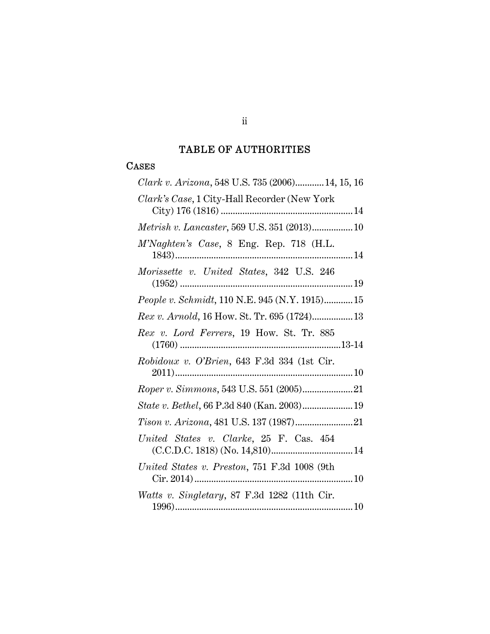# TABLE OF AUTHORITIES

## **CASES**

| Clark v. Arizona, 548 U.S. 735 (2006) 14, 15, 16 |
|--------------------------------------------------|
| Clark's Case, 1 City-Hall Recorder (New York     |
| Metrish v. Lancaster, 569 U.S. 351 (2013) 10     |
| M'Naghten's Case, 8 Eng. Rep. 718 (H.L.          |
| Morissette v. United States, 342 U.S. 246        |
| People v. Schmidt, 110 N.E. 945 (N.Y. 1915) 15   |
| Rex v. Arnold, 16 How. St. Tr. 695 (1724) 13     |
| Rex v. Lord Ferrers, 19 How. St. Tr. 885         |
| Robidoux v. O'Brien, 643 F.3d 334 (1st Cir.      |
| <i>Roper v. Simmons, 543 U.S. 551 (2005)</i> 21  |
| State v. Bethel, 66 P.3d 840 (Kan. 2003) 19      |
|                                                  |
| United States v. Clarke, 25 F. Cas. 454          |
| United States v. Preston, 751 F.3d 1008 (9th     |
| Watts v. Singletary, 87 F.3d 1282 (11th Cir.     |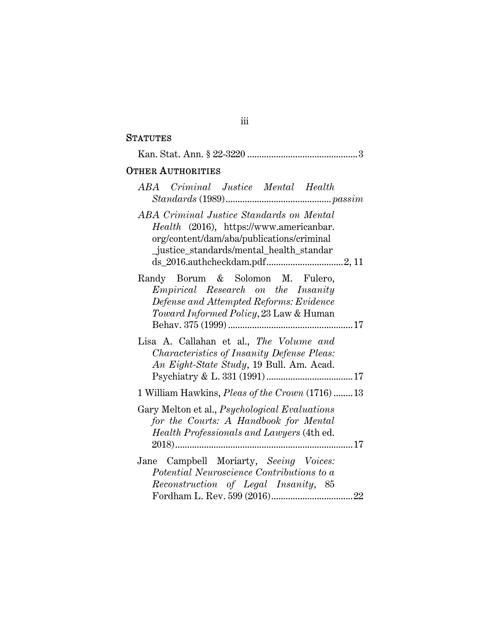## **STATUTES**

| <b>OTHER AUTHORITIES</b>                                                                                                                                                    |
|-----------------------------------------------------------------------------------------------------------------------------------------------------------------------------|
| ABA Criminal Justice Mental Health                                                                                                                                          |
| ABA Criminal Justice Standards on Mental<br>Health (2016), https://www.americanbar.<br>org/content/dam/aba/publications/criminal<br>justice_standards/mental_health_standar |
| Randy Borum & Solomon M. Fulero,<br><i>Empirical</i> Research on the Insanity<br>Defense and Attempted Reforms: Evidence<br>Toward Informed Policy, 23 Law & Human          |
| Lisa A. Callahan et al., The Volume and<br>Characteristics of Insanity Defense Pleas:<br>An Eight-State Study, 19 Bull. Am. Acad.                                           |
| 1 William Hawkins, <i>Pleas of the Crown</i> (1716)13                                                                                                                       |
| Gary Melton et al., <i>Psychological Evaluations</i><br>for the Courts: A Handbook for Mental<br><i>Health Professionals and Lawyers</i> (4th ed.                           |
| Jane Campbell Moriarty, Seeing Voices:<br>Potential Neuroscience Contributions to a<br>Reconstruction of Legal Insanity, 85                                                 |

## iii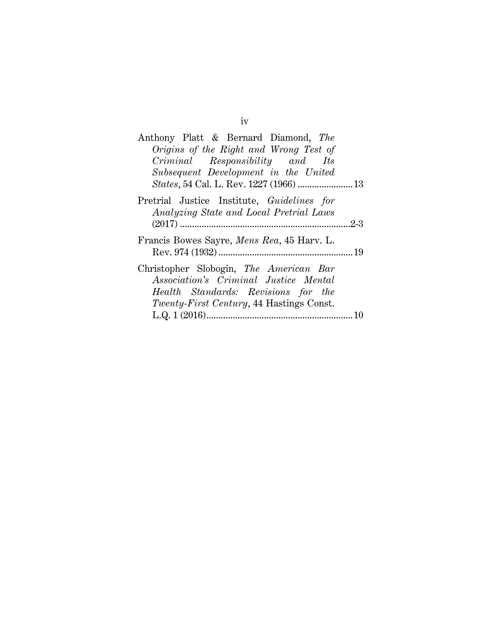| Anthony Platt & Bernard Diamond, The                                                  |
|---------------------------------------------------------------------------------------|
| Origins of the Right and Wrong Test of                                                |
| Criminal Responsibility and Its                                                       |
| Subsequent Development in the United                                                  |
|                                                                                       |
| Pretrial Justice Institute, Guidelines for<br>Analyzing State and Local Pretrial Laws |
| $.2 - 3$                                                                              |
| Francis Bowes Sayre, <i>Mens Rea</i> , 45 Harv. L.                                    |
| Christopher Slobogin, The American Bar<br>Association's Criminal Justice Mental       |
| Health Standards: Revisions for the                                                   |
| Twenty-First Century, 44 Hastings Const.                                              |
| 10                                                                                    |

iv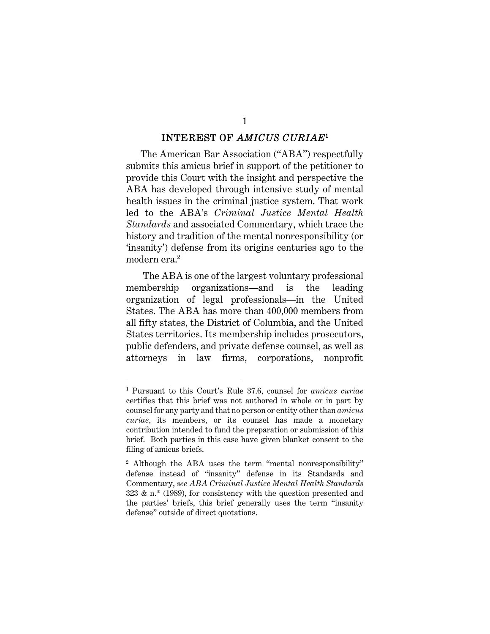#### INTEREST OF *AMICUS CURIAE*<sup>1</sup>

1

The American Bar Association ("ABA") respectfully submits this amicus brief in support of the petitioner to provide this Court with the insight and perspective the ABA has developed through intensive study of mental health issues in the criminal justice system. That work led to the ABA's *Criminal Justice Mental Health Standards* and associated Commentary, which trace the history and tradition of the mental nonresponsibility (or 'insanity') defense from its origins centuries ago to the modern era.2

 The ABA is one of the largest voluntary professional membership organizations—and is the leading organization of legal professionals—in the United States. The ABA has more than 400,000 members from all fifty states, the District of Columbia, and the United States territories. Its membership includes prosecutors, public defenders, and private defense counsel, as well as attorneys in law firms, corporations, nonprofit

<sup>1</sup> Pursuant to this Court's Rule 37.6, counsel for *amicus curiae*  certifies that this brief was not authored in whole or in part by counsel for any party and that no person or entity other than *amicus curiae*, its members, or its counsel has made a monetary contribution intended to fund the preparation or submission of this brief. Both parties in this case have given blanket consent to the filing of amicus briefs.

<sup>&</sup>lt;sup>2</sup> Although the ABA uses the term "mental nonresponsibility" defense instead of "insanity" defense in its Standards and Commentary, *see ABA Criminal Justice Mental Health Standards*  323 & n.\* (1989), for consistency with the question presented and the parties' briefs, this brief generally uses the term "insanity defense" outside of direct quotations.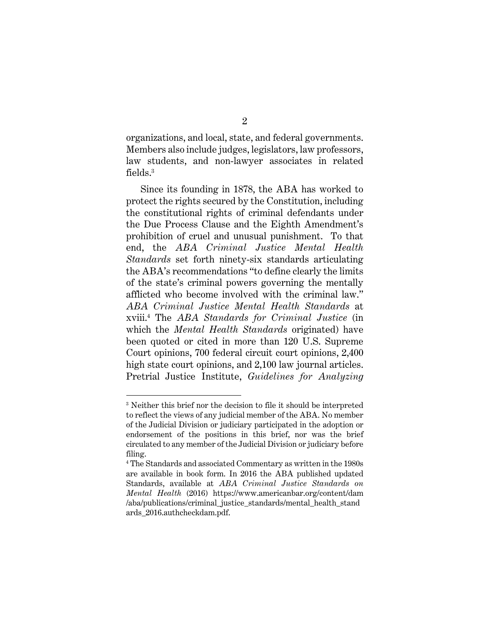organizations, and local, state, and federal governments. Members also include judges, legislators, law professors, law students, and non-lawyer associates in related  $\mathrm{fields.}^3$ 

Since its founding in 1878, the ABA has worked to protect the rights secured by the Constitution, including the constitutional rights of criminal defendants under the Due Process Clause and the Eighth Amendment's prohibition of cruel and unusual punishment. To that end, the *ABA Criminal Justice Mental Health Standards* set forth ninety-six standards articulating the ABA's recommendations "to define clearly the limits of the state's criminal powers governing the mentally afflicted who become involved with the criminal law." *ABA Criminal Justice Mental Health Standards* at xviii.4 The *ABA Standards for Criminal Justice* (in which the *Mental Health Standards* originated) have been quoted or cited in more than 120 U.S. Supreme Court opinions, 700 federal circuit court opinions, 2,400 high state court opinions, and 2,100 law journal articles. Pretrial Justice Institute, *Guidelines for Analyzing* 

<sup>&</sup>lt;sup>3</sup> Neither this brief nor the decision to file it should be interpreted to reflect the views of any judicial member of the ABA. No member of the Judicial Division or judiciary participated in the adoption or endorsement of the positions in this brief, nor was the brief circulated to any member of the Judicial Division or judiciary before filing.

<sup>4</sup> The Standards and associated Commentary as written in the 1980s are available in book form. In 2016 the ABA published updated Standards, available at *ABA Criminal Justice Standards on Mental Health* (2016) https://www.americanbar.org/content/dam /aba/publications/criminal\_justice\_standards/mental\_health\_stand ards\_2016.authcheckdam.pdf.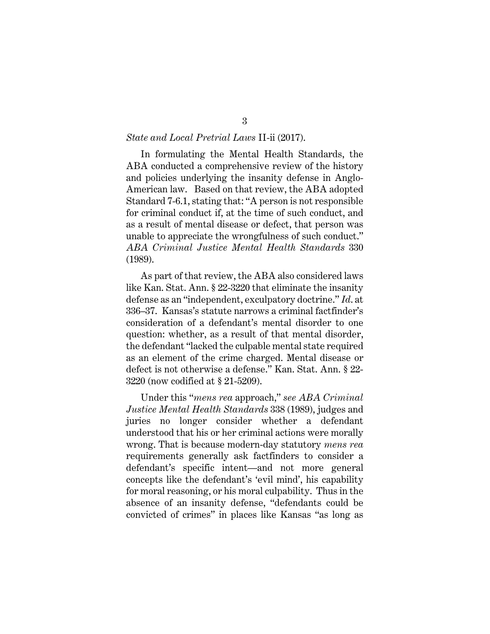#### *State and Local Pretrial Laws* II-ii (2017).

In formulating the Mental Health Standards, the ABA conducted a comprehensive review of the history and policies underlying the insanity defense in Anglo-American law. Based on that review, the ABA adopted Standard 7-6.1, stating that: "A person is not responsible for criminal conduct if, at the time of such conduct, and as a result of mental disease or defect, that person was unable to appreciate the wrongfulness of such conduct." *ABA Criminal Justice Mental Health Standards* 330 (1989).

As part of that review, the ABA also considered laws like Kan. Stat. Ann. § 22-3220 that eliminate the insanity defense as an "independent, exculpatory doctrine." *Id*. at 336–37. Kansas's statute narrows a criminal factfinder's consideration of a defendant's mental disorder to one question: whether, as a result of that mental disorder, the defendant "lacked the culpable mental state required as an element of the crime charged. Mental disease or defect is not otherwise a defense." Kan. Stat. Ann. § 22- 3220 (now codified at § 21-5209).

Under this "*mens rea* approach," *see ABA Criminal Justice Mental Health Standards* 338 (1989), judges and juries no longer consider whether a defendant understood that his or her criminal actions were morally wrong. That is because modern-day statutory *mens rea* requirements generally ask factfinders to consider a defendant's specific intent—and not more general concepts like the defendant's 'evil mind', his capability for moral reasoning, or his moral culpability. Thus in the absence of an insanity defense, "defendants could be convicted of crimes" in places like Kansas "as long as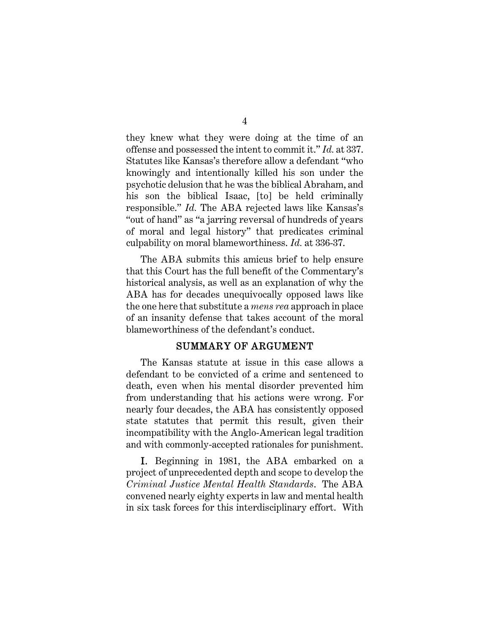they knew what they were doing at the time of an offense and possessed the intent to commit it." *Id.* at 337. Statutes like Kansas's therefore allow a defendant "who knowingly and intentionally killed his son under the psychotic delusion that he was the biblical Abraham, and his son the biblical Isaac, [to] be held criminally responsible." *Id.* The ABA rejected laws like Kansas's "out of hand" as "a jarring reversal of hundreds of years of moral and legal history" that predicates criminal culpability on moral blameworthiness. *Id.* at 336-37.

The ABA submits this amicus brief to help ensure that this Court has the full benefit of the Commentary's historical analysis, as well as an explanation of why the ABA has for decades unequivocally opposed laws like the one here that substitute a *mens rea* approach in place of an insanity defense that takes account of the moral blameworthiness of the defendant's conduct.

#### SUMMARY OF ARGUMENT

The Kansas statute at issue in this case allows a defendant to be convicted of a crime and sentenced to death, even when his mental disorder prevented him from understanding that his actions were wrong. For nearly four decades, the ABA has consistently opposed state statutes that permit this result, given their incompatibility with the Anglo-American legal tradition and with commonly-accepted rationales for punishment.

I. Beginning in 1981, the ABA embarked on a project of unprecedented depth and scope to develop the *Criminal Justice Mental Health Standards*. The ABA convened nearly eighty experts in law and mental health in six task forces for this interdisciplinary effort. With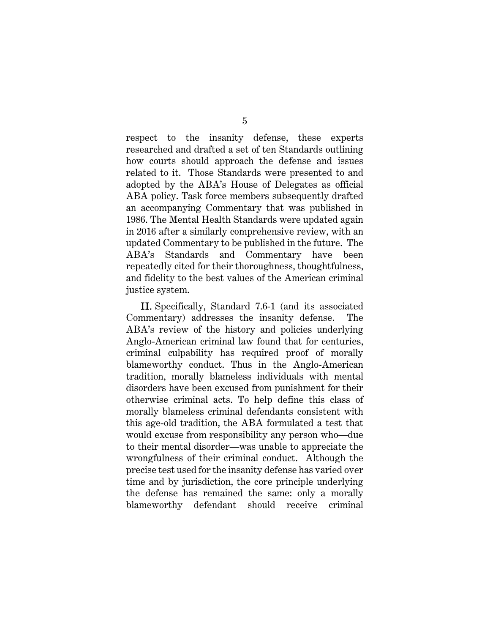respect to the insanity defense, these experts researched and drafted a set of ten Standards outlining how courts should approach the defense and issues related to it. Those Standards were presented to and adopted by the ABA's House of Delegates as official ABA policy. Task force members subsequently drafted an accompanying Commentary that was published in 1986. The Mental Health Standards were updated again in 2016 after a similarly comprehensive review, with an updated Commentary to be published in the future. The ABA's Standards and Commentary have been repeatedly cited for their thoroughness, thoughtfulness, and fidelity to the best values of the American criminal justice system.

II. Specifically, Standard 7.6-1 (and its associated Commentary) addresses the insanity defense. The ABA's review of the history and policies underlying Anglo-American criminal law found that for centuries, criminal culpability has required proof of morally blameworthy conduct. Thus in the Anglo-American tradition, morally blameless individuals with mental disorders have been excused from punishment for their otherwise criminal acts. To help define this class of morally blameless criminal defendants consistent with this age-old tradition, the ABA formulated a test that would excuse from responsibility any person who—due to their mental disorder—was unable to appreciate the wrongfulness of their criminal conduct. Although the precise test used for the insanity defense has varied over time and by jurisdiction, the core principle underlying the defense has remained the same: only a morally blameworthy defendant should receive criminal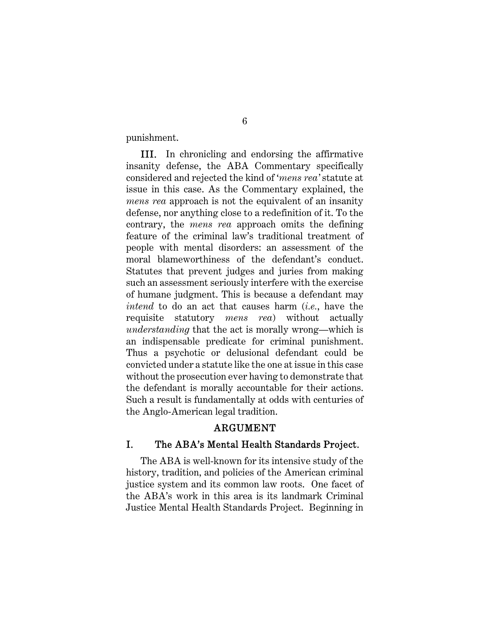punishment.

III. In chronicling and endorsing the affirmative insanity defense, the ABA Commentary specifically considered and rejected the kind of '*mens rea'* statute at issue in this case. As the Commentary explained, the *mens rea* approach is not the equivalent of an insanity defense, nor anything close to a redefinition of it. To the contrary, the *mens rea* approach omits the defining feature of the criminal law's traditional treatment of people with mental disorders: an assessment of the moral blameworthiness of the defendant's conduct. Statutes that prevent judges and juries from making such an assessment seriously interfere with the exercise of humane judgment. This is because a defendant may *intend* to do an act that causes harm (*i.e.*, have the requisite statutory *mens rea*) without actually *understanding* that the act is morally wrong—which is an indispensable predicate for criminal punishment. Thus a psychotic or delusional defendant could be convicted under a statute like the one at issue in this case without the prosecution ever having to demonstrate that the defendant is morally accountable for their actions. Such a result is fundamentally at odds with centuries of the Anglo-American legal tradition.

### ARGUMENT

#### I. The ABA's Mental Health Standards Project.

The ABA is well-known for its intensive study of the history, tradition, and policies of the American criminal justice system and its common law roots. One facet of the ABA's work in this area is its landmark Criminal Justice Mental Health Standards Project. Beginning in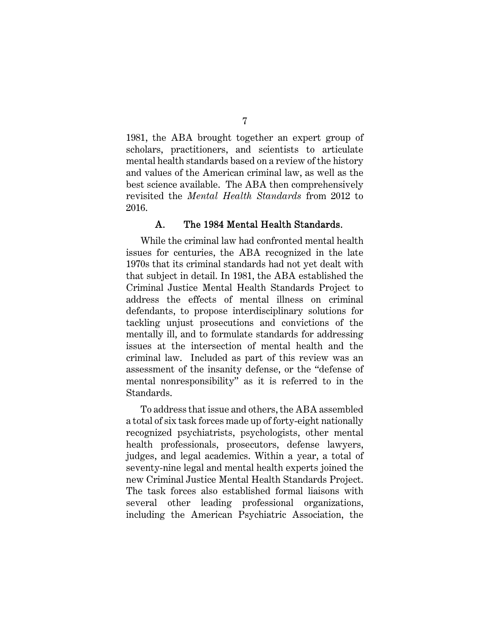1981, the ABA brought together an expert group of scholars, practitioners, and scientists to articulate mental health standards based on a review of the history and values of the American criminal law, as well as the best science available. The ABA then comprehensively revisited the *Mental Health Standards* from 2012 to 2016.

#### A. The 1984 Mental Health Standards.

While the criminal law had confronted mental health issues for centuries, the ABA recognized in the late 1970s that its criminal standards had not yet dealt with that subject in detail. In 1981, the ABA established the Criminal Justice Mental Health Standards Project to address the effects of mental illness on criminal defendants, to propose interdisciplinary solutions for tackling unjust prosecutions and convictions of the mentally ill, and to formulate standards for addressing issues at the intersection of mental health and the criminal law. Included as part of this review was an assessment of the insanity defense, or the "defense of mental nonresponsibility" as it is referred to in the Standards.

To address that issue and others, the ABA assembled a total of six task forces made up of forty-eight nationally recognized psychiatrists, psychologists, other mental health professionals, prosecutors, defense lawyers, judges, and legal academics. Within a year, a total of seventy-nine legal and mental health experts joined the new Criminal Justice Mental Health Standards Project. The task forces also established formal liaisons with several other leading professional organizations, including the American Psychiatric Association, the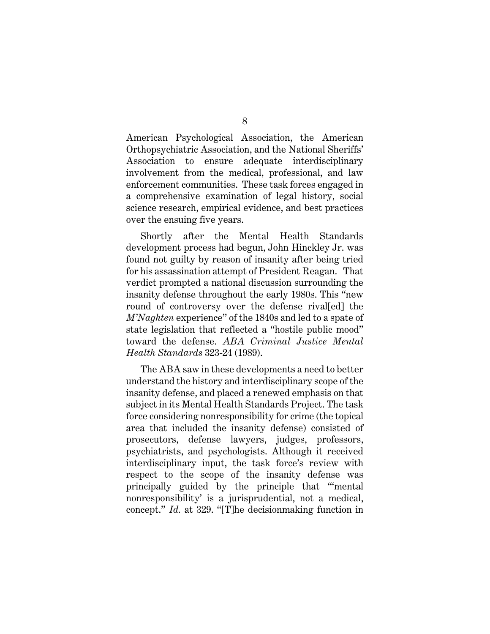American Psychological Association, the American Orthopsychiatric Association, and the National Sheriffs' Association to ensure adequate interdisciplinary involvement from the medical, professional, and law enforcement communities. These task forces engaged in a comprehensive examination of legal history, social science research, empirical evidence, and best practices over the ensuing five years.

Shortly after the Mental Health Standards development process had begun, John Hinckley Jr. was found not guilty by reason of insanity after being tried for his assassination attempt of President Reagan. That verdict prompted a national discussion surrounding the insanity defense throughout the early 1980s. This "new round of controversy over the defense rival[ed] the *M'Naghten* experience" of the 1840s and led to a spate of state legislation that reflected a "hostile public mood" toward the defense. *ABA Criminal Justice Mental Health Standards* 323-24 (1989).

The ABA saw in these developments a need to better understand the history and interdisciplinary scope of the insanity defense, and placed a renewed emphasis on that subject in its Mental Health Standards Project. The task force considering nonresponsibility for crime (the topical area that included the insanity defense) consisted of prosecutors, defense lawyers, judges, professors, psychiatrists, and psychologists. Although it received interdisciplinary input, the task force's review with respect to the scope of the insanity defense was principally guided by the principle that "'mental nonresponsibility' is a jurisprudential, not a medical, concept." *Id.* at 329. "[T]he decisionmaking function in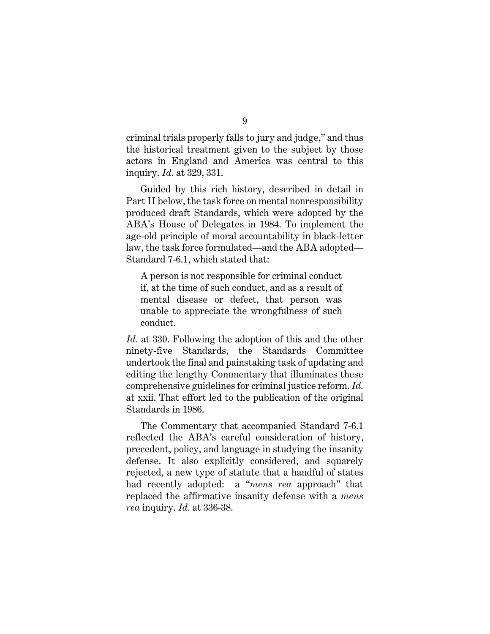criminal trials properly falls to jury and judge," and thus the historical treatment given to the subject by those actors in England and America was central to this inquiry. *Id.* at 329, 331.

Guided by this rich history, described in detail in Part II below, the task force on mental nonresponsibility produced draft Standards, which were adopted by the ABA's House of Delegates in 1984. To implement the age-old principle of moral accountability in black-letter law, the task force formulated—and the ABA adopted— Standard 7-6.1, which stated that:

A person is not responsible for criminal conduct if, at the time of such conduct, and as a result of mental disease or defect, that person was unable to appreciate the wrongfulness of such conduct.

*Id.* at 330. Following the adoption of this and the other ninety-five Standards, the Standards Committee undertook the final and painstaking task of updating and editing the lengthy Commentary that illuminates these comprehensive guidelines for criminal justice reform. *Id.*  at xxii. That effort led to the publication of the original Standards in 1986.

The Commentary that accompanied Standard 7-6.1 reflected the ABA's careful consideration of history, precedent, policy, and language in studying the insanity defense. It also explicitly considered, and squarely rejected, a new type of statute that a handful of states had recently adopted: a *"mens rea* approach" that replaced the affirmative insanity defense with a *mens rea* inquiry. *Id.* at 336-38.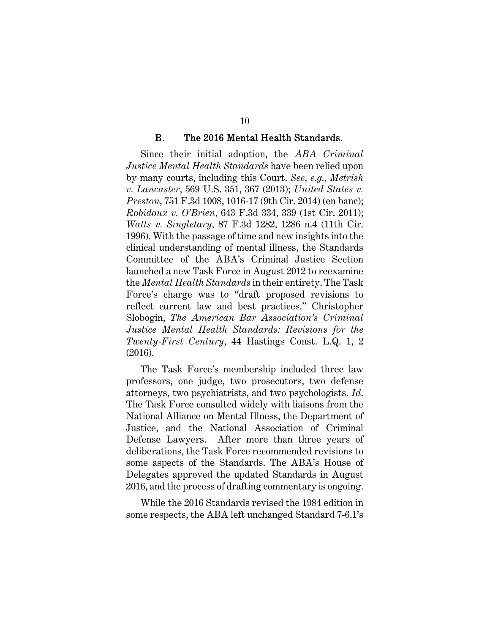#### B. The 2016 Mental Health Standards.

Since their initial adoption, the *ABA Criminal Justice Mental Health Standards* have been relied upon by many courts, including this Court. *See, e.g.*, *Metrish v. Lancaster*, 569 U.S. 351, 367 (2013); *United States v. Preston*, 751 F.3d 1008, 1016-17 (9th Cir. 2014) (en banc); *Robidoux v. O'Brien*, 643 F.3d 334, 339 (1st Cir. 2011); *Watts v. Singletary*, 87 F.3d 1282, 1286 n.4 (11th Cir. 1996). With the passage of time and new insights into the clinical understanding of mental illness, the Standards Committee of the ABA's Criminal Justice Section launched a new Task Force in August 2012 to reexamine the *Mental Health Standards* in their entirety. The Task Force's charge was to "draft proposed revisions to reflect current law and best practices." Christopher Slobogin, *The American Bar Association's Criminal Justice Mental Health Standards: Revisions for the Twenty-First Century*, 44 Hastings Const. L.Q. 1, 2 (2016).

The Task Force's membership included three law professors, one judge, two prosecutors, two defense attorneys, two psychiatrists, and two psychologists. *Id*. The Task Force consulted widely with liaisons from the National Alliance on Mental Illness, the Department of Justice, and the National Association of Criminal Defense Lawyers. After more than three years of deliberations, the Task Force recommended revisions to some aspects of the Standards. The ABA's House of Delegates approved the updated Standards in August 2016, and the process of drafting commentary is ongoing.

While the 2016 Standards revised the 1984 edition in some respects, the ABA left unchanged Standard 7-6.1's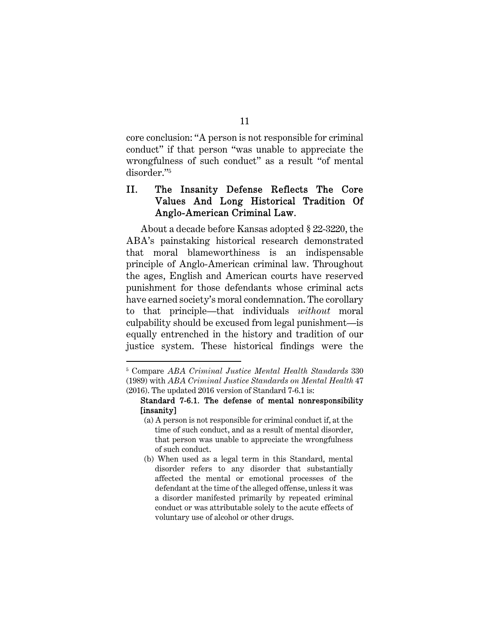core conclusion: "A person is not responsible for criminal conduct" if that person "was unable to appreciate the wrongfulness of such conduct" as a result "of mental disorder."5

## II. The Insanity Defense Reflects The Core Values And Long Historical Tradition Of Anglo-American Criminal Law.

About a decade before Kansas adopted § 22-3220, the ABA's painstaking historical research demonstrated that moral blameworthiness is an indispensable principle of Anglo-American criminal law. Throughout the ages, English and American courts have reserved punishment for those defendants whose criminal acts have earned society's moral condemnation. The corollary to that principle—that individuals *without* moral culpability should be excused from legal punishment—is equally entrenched in the history and tradition of our justice system. These historical findings were the

 $\overline{a}$ 

#### 11

<sup>5</sup> Compare *ABA Criminal Justice Mental Health Standards* 330 (1989) with *ABA Criminal Justice Standards on Mental Health* 47 (2016). The updated 2016 version of Standard 7-6.1 is:

Standard 7-6.1. The defense of mental nonresponsibility [insanity]

<sup>(</sup>a) A person is not responsible for criminal conduct if, at the time of such conduct, and as a result of mental disorder, that person was unable to appreciate the wrongfulness of such conduct.

<sup>(</sup>b) When used as a legal term in this Standard, mental disorder refers to any disorder that substantially affected the mental or emotional processes of the defendant at the time of the alleged offense, unless it was a disorder manifested primarily by repeated criminal conduct or was attributable solely to the acute effects of voluntary use of alcohol or other drugs.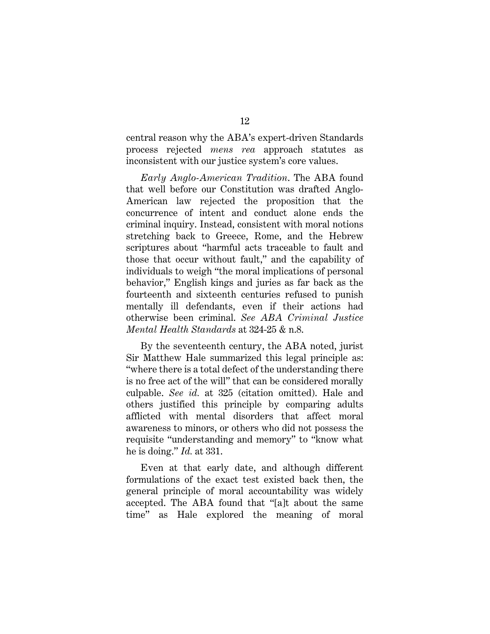central reason why the ABA's expert-driven Standards process rejected *mens rea* approach statutes as inconsistent with our justice system's core values.

*Early Anglo-American Tradition*. The ABA found that well before our Constitution was drafted Anglo-American law rejected the proposition that the concurrence of intent and conduct alone ends the criminal inquiry. Instead, consistent with moral notions stretching back to Greece, Rome, and the Hebrew scriptures about "harmful acts traceable to fault and those that occur without fault," and the capability of individuals to weigh "the moral implications of personal behavior," English kings and juries as far back as the fourteenth and sixteenth centuries refused to punish mentally ill defendants, even if their actions had otherwise been criminal. *See ABA Criminal Justice Mental Health Standards* at 324-25 & n.8.

By the seventeenth century, the ABA noted, jurist Sir Matthew Hale summarized this legal principle as: "where there is a total defect of the understanding there is no free act of the will" that can be considered morally culpable. *See id.* at 325 (citation omitted). Hale and others justified this principle by comparing adults afflicted with mental disorders that affect moral awareness to minors, or others who did not possess the requisite "understanding and memory" to "know what he is doing." *Id.* at 331.

Even at that early date, and although different formulations of the exact test existed back then, the general principle of moral accountability was widely accepted. The ABA found that "[a]t about the same time" as Hale explored the meaning of moral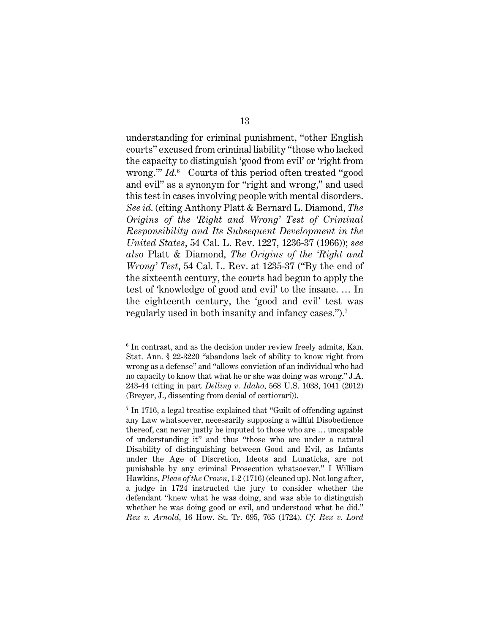understanding for criminal punishment, "other English courts" excused from criminal liability "those who lacked the capacity to distinguish 'good from evil' or 'right from wrong.'" *Id.*<sup>6</sup> Courts of this period often treated "good and evil" as a synonym for "right and wrong," and used this test in cases involving people with mental disorders. *See id.* (citing Anthony Platt & Bernard L. Diamond, *The Origins of the 'Right and Wrong' Test of Criminal Responsibility and Its Subsequent Development in the United States*, 54 Cal. L. Rev. 1227, 1236-37 (1966)); *see also* Platt & Diamond, *The Origins of the 'Right and Wrong' Test*, 54 Cal. L. Rev. at 1235-37 ("By the end of the sixteenth century, the courts had begun to apply the test of 'knowledge of good and evil' to the insane. … In the eighteenth century, the 'good and evil' test was regularly used in both insanity and infancy cases.").7

<sup>6</sup> In contrast, and as the decision under review freely admits, Kan. Stat. Ann. § 22-3220 "abandons lack of ability to know right from wrong as a defense" and "allows conviction of an individual who had no capacity to know that what he or she was doing was wrong." J.A. 243-44 (citing in part *Delling v. Idaho*, 568 U.S. 1038, 1041 (2012) (Breyer, J., dissenting from denial of certiorari)).

<sup>7</sup> In 1716, a legal treatise explained that "Guilt of offending against any Law whatsoever, necessarily supposing a willful Disobedience thereof, can never justly be imputed to those who are … uncapable of understanding it" and thus "those who are under a natural Disability of distinguishing between Good and Evil, as Infants under the Age of Discretion, Ideots and Lunaticks, are not punishable by any criminal Prosecution whatsoever." I William Hawkins, *Pleas of the Crown*, 1-2 (1716) (cleaned up). Not long after, a judge in 1724 instructed the jury to consider whether the defendant "knew what he was doing, and was able to distinguish whether he was doing good or evil, and understood what he did." *Rex v. Arnold*, 16 How. St. Tr. 695, 765 (1724). *Cf. Rex v. Lord*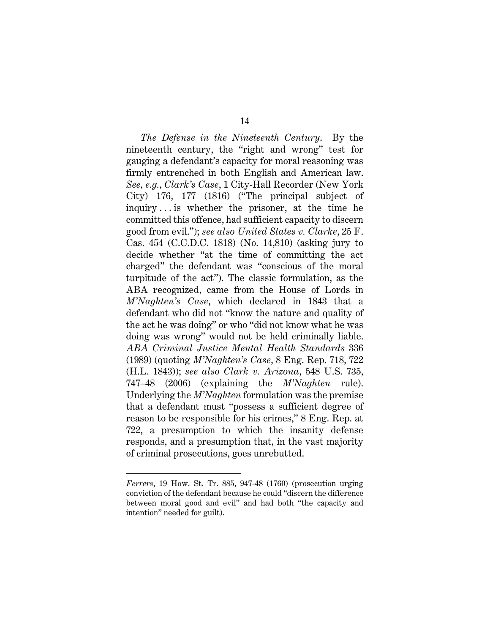*The Defense in the Nineteenth Century*. By the nineteenth century, the "right and wrong" test for gauging a defendant's capacity for moral reasoning was firmly entrenched in both English and American law. *See, e.g.*, *Clark's Case*, 1 City-Hall Recorder (New York City) 176, 177 (1816) ("The principal subject of inquiry . . . is whether the prisoner, at the time he committed this offence, had sufficient capacity to discern good from evil."); *see also United States v. Clarke*, 25 F. Cas. 454 (C.C.D.C. 1818) (No. 14,810) (asking jury to decide whether "at the time of committing the act charged" the defendant was "conscious of the moral turpitude of the act"). The classic formulation, as the ABA recognized, came from the House of Lords in *M'Naghten's Case*, which declared in 1843 that a defendant who did not "know the nature and quality of the act he was doing" or who "did not know what he was doing was wrong" would not be held criminally liable. *ABA Criminal Justice Mental Health Standards* 336 (1989) (quoting *M'Naghten's Case*, 8 Eng. Rep. 718, 722 (H.L. 1843)); *see also Clark v. Arizona*, 548 U.S. 735, 747–48 (2006) (explaining the *M'Naghten* rule). Underlying the *M'Naghten* formulation was the premise that a defendant must "possess a sufficient degree of reason to be responsible for his crimes," 8 Eng. Rep. at 722, a presumption to which the insanity defense responds, and a presumption that, in the vast majority of criminal prosecutions, goes unrebutted.

*Ferrers*, 19 How. St. Tr. 885, 947-48 (1760) (prosecution urging conviction of the defendant because he could "discern the difference between moral good and evil" and had both "the capacity and intention" needed for guilt).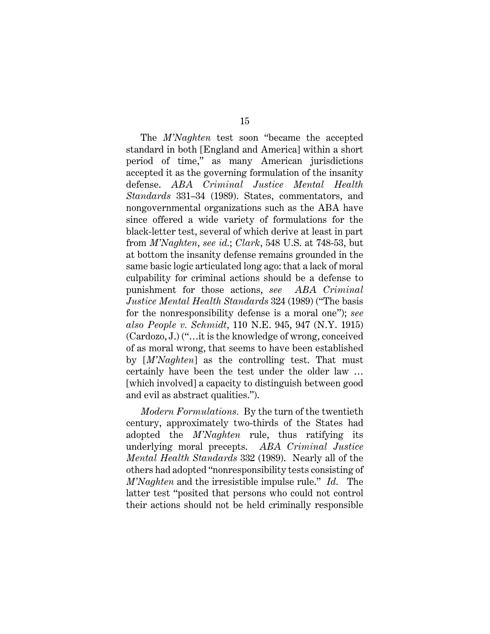The *M'Naghten* test soon "became the accepted standard in both [England and America] within a short period of time," as many American jurisdictions accepted it as the governing formulation of the insanity defense. *ABA Criminal Justice Mental Health Standards* 331–34 (1989). States, commentators, and nongovernmental organizations such as the ABA have since offered a wide variety of formulations for the black-letter test, several of which derive at least in part from *M'Naghten*, *see id.*; *Clark*, 548 U.S. at 748-53, but at bottom the insanity defense remains grounded in the same basic logic articulated long ago: that a lack of moral culpability for criminal actions should be a defense to punishment for those actions, *see ABA Criminal Justice Mental Health Standards* 324 (1989) ("The basis for the nonresponsibility defense is a moral one"); *see also People v. Schmidt*, 110 N.E. 945, 947 (N.Y. 1915) (Cardozo, J.) ("…it is the knowledge of wrong, conceived of as moral wrong, that seems to have been established by [*M'Naghten*] as the controlling test. That must certainly have been the test under the older law … [which involved] a capacity to distinguish between good and evil as abstract qualities.").

*Modern Formulations.* By the turn of the twentieth century, approximately two-thirds of the States had adopted the *M'Naghten* rule, thus ratifying its underlying moral precepts. *ABA Criminal Justice Mental Health Standards* 332 (1989). Nearly all of the others had adopted "nonresponsibility tests consisting of *M'Naghten* and the irresistible impulse rule." *Id.* The latter test "posited that persons who could not control their actions should not be held criminally responsible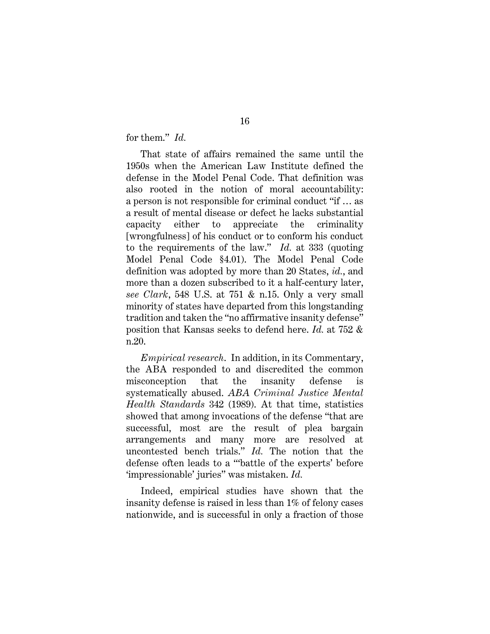for them." *Id.*

That state of affairs remained the same until the 1950s when the American Law Institute defined the defense in the Model Penal Code. That definition was also rooted in the notion of moral accountability: a person is not responsible for criminal conduct "if … as a result of mental disease or defect he lacks substantial capacity either to appreciate the criminality [wrongfulness] of his conduct or to conform his conduct to the requirements of the law." *Id.* at 333 (quoting Model Penal Code §4.01). The Model Penal Code definition was adopted by more than 20 States, *id.*, and more than a dozen subscribed to it a half-century later, *see Clark*, 548 U.S. at 751 & n.15. Only a very small minority of states have departed from this longstanding tradition and taken the "no affirmative insanity defense" position that Kansas seeks to defend here. *Id.* at 752 & n.20.

*Empirical research*. In addition, in its Commentary, the ABA responded to and discredited the common misconception that the insanity defense is systematically abused. *ABA Criminal Justice Mental Health Standards* 342 (1989). At that time, statistics showed that among invocations of the defense "that are successful, most are the result of plea bargain arrangements and many more are resolved at uncontested bench trials." *Id.* The notion that the defense often leads to a "'battle of the experts' before 'impressionable' juries" was mistaken. *Id.*

Indeed, empirical studies have shown that the insanity defense is raised in less than 1% of felony cases nationwide, and is successful in only a fraction of those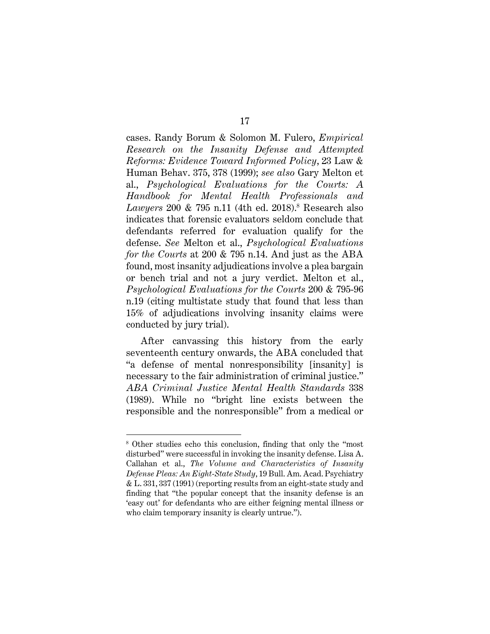cases. Randy Borum & Solomon M. Fulero, *Empirical Research on the Insanity Defense and Attempted Reforms: Evidence Toward Informed Policy*, 23 Law & Human Behav. 375, 378 (1999); *see also* Gary Melton et al., *Psychological Evaluations for the Courts: A Handbook for Mental Health Professionals and Lawyers* 200 & 795 n.11 (4th ed. 2018).8 Research also indicates that forensic evaluators seldom conclude that defendants referred for evaluation qualify for the defense. *See* Melton et al., *Psychological Evaluations for the Courts* at 200 & 795 n.14. And just as the ABA found, most insanity adjudications involve a plea bargain or bench trial and not a jury verdict. Melton et al., *Psychological Evaluations for the Courts* 200 & 795-96 n.19 (citing multistate study that found that less than 15% of adjudications involving insanity claims were conducted by jury trial).

After canvassing this history from the early seventeenth century onwards, the ABA concluded that "a defense of mental nonresponsibility [insanity] is necessary to the fair administration of criminal justice." *ABA Criminal Justice Mental Health Standards* 338 (1989). While no "bright line exists between the responsible and the nonresponsible" from a medical or

<sup>8</sup> Other studies echo this conclusion, finding that only the "most disturbed" were successful in invoking the insanity defense. Lisa A. Callahan et al., *The Volume and Characteristics of Insanity Defense Pleas: An Eight-State Study*, 19 Bull. Am. Acad. Psychiatry & L. 331, 337 (1991) (reporting results from an eight-state study and finding that "the popular concept that the insanity defense is an 'easy out' for defendants who are either feigning mental illness or who claim temporary insanity is clearly untrue.").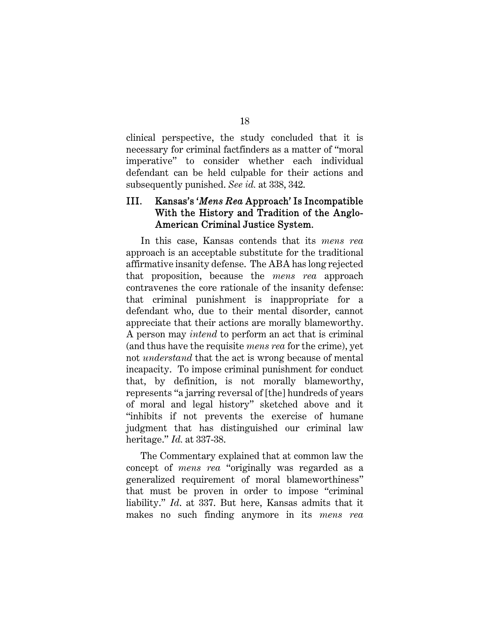clinical perspective, the study concluded that it is necessary for criminal factfinders as a matter of "moral imperative" to consider whether each individual defendant can be held culpable for their actions and subsequently punished. *See id.* at 338, 342.

## III. Kansas's '*Mens Rea* Approach' Is Incompatible With the History and Tradition of the Anglo-American Criminal Justice System.

In this case, Kansas contends that its *mens rea* approach is an acceptable substitute for the traditional affirmative insanity defense. The ABA has long rejected that proposition, because the *mens rea* approach contravenes the core rationale of the insanity defense: that criminal punishment is inappropriate for a defendant who, due to their mental disorder, cannot appreciate that their actions are morally blameworthy. A person may *intend* to perform an act that is criminal (and thus have the requisite *mens rea* for the crime), yet not *understand* that the act is wrong because of mental incapacity. To impose criminal punishment for conduct that, by definition, is not morally blameworthy, represents "a jarring reversal of [the] hundreds of years of moral and legal history" sketched above and it "inhibits if not prevents the exercise of humane judgment that has distinguished our criminal law heritage." *Id.* at 337-38.

The Commentary explained that at common law the concept of *mens rea* "originally was regarded as a generalized requirement of moral blameworthiness" that must be proven in order to impose "criminal liability." *Id*. at 337. But here, Kansas admits that it makes no such finding anymore in its *mens rea*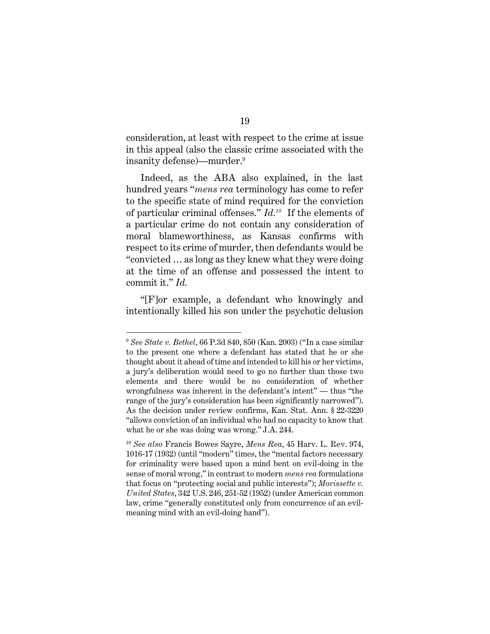consideration, at least with respect to the crime at issue in this appeal (also the classic crime associated with the insanity defense)—murder.9

Indeed, as the ABA also explained, in the last hundred years "*mens rea* terminology has come to refer to the specific state of mind required for the conviction of particular criminal offenses." *Id.10* If the elements of a particular crime do not contain any consideration of moral blameworthiness, as Kansas confirms with respect to its crime of murder, then defendants would be "convicted … as long as they knew what they were doing at the time of an offense and possessed the intent to commit it." *Id.* 

"[F]or example, a defendant who knowingly and intentionally killed his son under the psychotic delusion

<sup>9</sup> *See State v. Bethel*, 66 P.3d 840, 850 (Kan. 2003) ("In a case similar to the present one where a defendant has stated that he or she thought about it ahead of time and intended to kill his or her victims, a jury's deliberation would need to go no further than those two elements and there would be no consideration of whether wrongfulness was inherent in the defendant's intent" — thus "the range of the jury's consideration has been significantly narrowed"). As the decision under review confirms, Kan. Stat. Ann. § 22-3220 "allows conviction of an individual who had no capacity to know that what he or she was doing was wrong." J.A. 244.

<sup>10</sup> *See also* Francis Bowes Sayre, *Mens Rea*, 45 Harv. L. Rev. 974, 1016-17 (1932) (until "modern" times, the "mental factors necessary for criminality were based upon a mind bent on evil-doing in the sense of moral wrong," in contrast to modern *mens rea* formulations that focus on "protecting social and public interests"); *Morissette v. United States*, 342 U.S. 246, 251-52 (1952) (under American common law, crime "generally constituted only from concurrence of an evilmeaning mind with an evil-doing hand").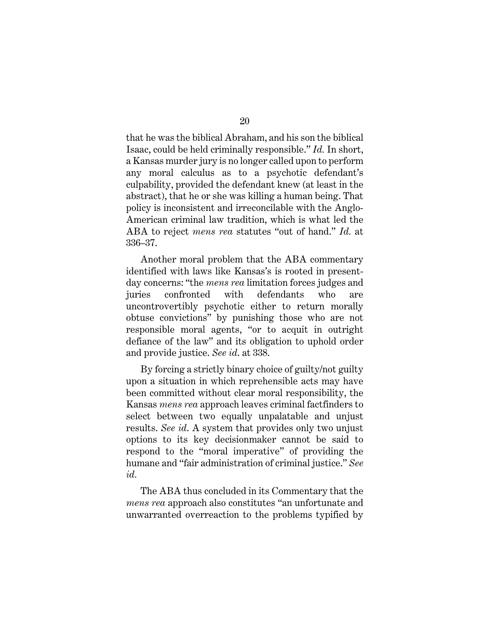that he was the biblical Abraham, and his son the biblical Isaac, could be held criminally responsible." *Id.* In short, a Kansas murder jury is no longer called upon to perform any moral calculus as to a psychotic defendant's culpability, provided the defendant knew (at least in the abstract), that he or she was killing a human being. That policy is inconsistent and irreconcilable with the Anglo-American criminal law tradition, which is what led the ABA to reject *mens rea* statutes "out of hand." *Id.* at 336–37.

Another moral problem that the ABA commentary identified with laws like Kansas's is rooted in presentday concerns: "the *mens rea* limitation forces judges and juries confronted with defendants who are uncontrovertibly psychotic either to return morally obtuse convictions" by punishing those who are not responsible moral agents, "or to acquit in outright defiance of the law" and its obligation to uphold order and provide justice. *See id*. at 338.

By forcing a strictly binary choice of guilty/not guilty upon a situation in which reprehensible acts may have been committed without clear moral responsibility, the Kansas *mens rea* approach leaves criminal factfinders to select between two equally unpalatable and unjust results. *See id*. A system that provides only two unjust options to its key decisionmaker cannot be said to respond to the "moral imperative" of providing the humane and "fair administration of criminal justice." *See id.* 

The ABA thus concluded in its Commentary that the *mens rea* approach also constitutes "an unfortunate and unwarranted overreaction to the problems typified by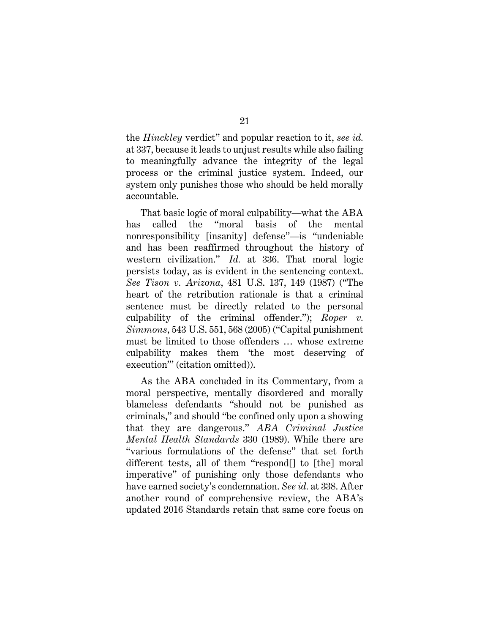the *Hinckley* verdict" and popular reaction to it, *see id.* at 337, because it leads to unjust results while also failing to meaningfully advance the integrity of the legal process or the criminal justice system. Indeed, our system only punishes those who should be held morally accountable.

That basic logic of moral culpability—what the ABA has called the "moral basis of the mental nonresponsibility [insanity] defense"—is "undeniable and has been reaffirmed throughout the history of western civilization." *Id.* at 336. That moral logic persists today, as is evident in the sentencing context. *See Tison v. Arizona*, 481 U.S. 137, 149 (1987) ("The heart of the retribution rationale is that a criminal sentence must be directly related to the personal culpability of the criminal offender."); *Roper v. Simmons*, 543 U.S. 551, 568 (2005) ("Capital punishment must be limited to those offenders … whose extreme culpability makes them 'the most deserving of execution'" (citation omitted)).

As the ABA concluded in its Commentary, from a moral perspective, mentally disordered and morally blameless defendants "should not be punished as criminals," and should "be confined only upon a showing that they are dangerous." *ABA Criminal Justice Mental Health Standards* 330 (1989). While there are "various formulations of the defense" that set forth different tests, all of them "respond[] to [the] moral imperative" of punishing only those defendants who have earned society's condemnation. *See id.* at 338. After another round of comprehensive review, the ABA's updated 2016 Standards retain that same core focus on